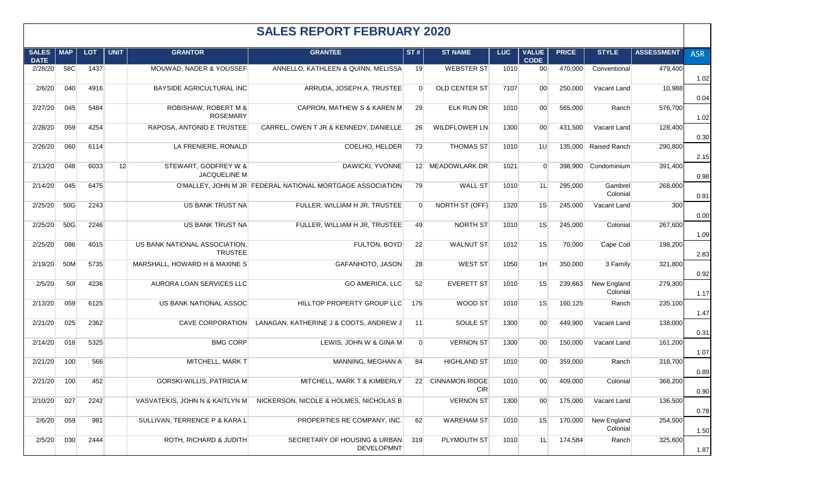| <b>SALES REPORT FEBRUARY 2020</b> |     |            |             |                                                 |                                                           |                |                                 |            |                             |              |                         |                   |            |
|-----------------------------------|-----|------------|-------------|-------------------------------------------------|-----------------------------------------------------------|----------------|---------------------------------|------------|-----------------------------|--------------|-------------------------|-------------------|------------|
| <b>SALES</b><br><b>DATE</b>       | MAP | <b>LOT</b> | <b>UNIT</b> | <b>GRANTOR</b>                                  | <b>GRANTEE</b>                                            | ST#            | <b>ST NAME</b>                  | <b>LUC</b> | <b>VALUE</b><br><b>CODE</b> | <b>PRICE</b> | <b>STYLE</b>            | <b>ASSESSMENT</b> | <b>ASR</b> |
| 2/28/20                           | 58C | 1437       |             | MOUWAD, NADER & YOUSSEF                         | ANNELLO, KATHLEEN & QUINN, MELISSA                        | 19             | <b>WEBSTER ST</b>               | 1010       | 00 <sub>0</sub>             | 470,000      | Conventional            | 479,400           | 1.02       |
| 2/6/20                            | 040 | 4916       |             | BAYSIDE AGRICULTURAL INC                        | ARRUDA, JOSEPH A, TRUSTEE                                 | $\overline{0}$ | <b>OLD CENTER ST</b>            | 7107       | 00 <sup>°</sup>             | 250,000      | Vacant Land             | 10,988            | 0.04       |
| 2/27/20                           | 045 | 5484       |             | ROBISHAW, ROBERT M &<br><b>ROSEMARY</b>         | <b>CAPRON, MATHEW S &amp; KAREN M</b>                     | 29             | <b>ELK RUN DR</b>               | 1010       | 00 <sup>1</sup>             | 565,000      | Ranch                   | 576,700           | 1.02       |
| 2/28/20                           | 059 | 4254       |             | RAPOSA, ANTONIO E TRUSTEE                       | CARREL, OWEN T JR & KENNEDY, DANIELLE                     | 26             | <b>WILDFLOWER LN</b>            | 1300       | 00 <sup>°</sup>             | 431,500      | Vacant Land             | 128,400           | 0.30       |
| 2/26/20                           | 060 | 6114       |             | LA FRENIERE, RONALD                             | COELHO, HELDER                                            | 73             | <b>THOMAS ST</b>                | 1010       | 1U                          | 135,000      | Raised Ranch            | 290,800           | 2.15       |
| 2/13/20                           | 048 | 6033       | 12          | STEWART, GODFREY W &<br><b>JACQUELINE M</b>     | DAWICKI, YVONNE                                           |                | 12 MEADOWLARK DR                | 1021       | $\overline{0}$              | 398,900      | Condominium             | 391,400           | 0.98       |
| 2/14/20                           | 045 | 6475       |             |                                                 | O'MALLEY, JOHN M JR FEDERAL NATIONAL MORTGAGE ASSOCIATION | 79             | <b>WALL ST</b>                  | 1010       | 1L                          | 295,000      | Gambrel<br>Colonial     | 268,000           | 0.91       |
| 2/25/20                           | 50G | 2243       |             | US BANK TRUST NA                                | FULLER, WILLIAM H JR, TRUSTEE                             | $\overline{0}$ | NORTH ST (OFF)                  | 1320       | 1S                          | 245,000      | Vacant Land             | 300               | 0.00       |
| 2/25/20                           | 50G | 2246       |             | US BANK TRUST NA                                | FULLER, WILLIAM H JR, TRUSTEE                             | 49             | NORTH ST                        | 1010       | 1S                          | 245,000      | Colonial                | 267,600           | 1.09       |
| 2/25/20                           | 086 | 4015       |             | US BANK NATIONAL ASSOCIATION,<br><b>TRUSTEE</b> | FULTON, BOYD                                              | 22             | <b>WALNUT ST</b>                | 1012       | 1S                          | 70,000       | Cape Cod                | 198,200           | 2.83       |
| 2/19/20                           | 50M | 5735       |             | MARSHALL, HOWARD H & MAXINE S                   | GAFANHOTO, JASON                                          | 28             | WEST ST                         | 1050       | 1H                          | 350,000      | 3 Family                | 321,800           | 0.92       |
| 2/5/20                            | 501 | 4236       |             | AURORA LOAN SERVICES LLC                        | <b>GO AMERICA, LLC</b>                                    | 52             | <b>EVERETT ST</b>               | 1010       | 1S                          | 239,663      | New England<br>Colonial | 279,300           | 1.17       |
| 2/13/20                           | 059 | 6125       |             | US BANK NATIONAL ASSOC                          | HILLTOP PROPERTY GROUP LLC                                | 175            | WOOD ST                         | 1010       | 1S                          | 160,125      | Ranch                   | 235,100           | 1.47       |
| 2/21/20                           | 025 | 2362       |             | <b>CAVE CORPORATION</b>                         | LANAGAN, KATHERINE J & COOTS, ANDREW J                    | 11             | SOULE ST                        | 1300       | 00 <sup>°</sup>             | 449,900      | Vacant Land             | 138,000           | 0.31       |
| 2/14/20                           | 018 | 5325       |             | <b>BMG CORP</b>                                 | LEWIS, JOHN W & GINA M                                    | $\overline{0}$ | <b>VERNON ST</b>                | 1300       | 00 <sup>1</sup>             | 150,000      | Vacant Land             | 161,200           | 1.07       |
| 2/21/20                           | 100 | 566        |             | MITCHELL, MARK T                                | MANNING, MEGHAN A                                         | 84             | <b>HIGHLAND ST</b>              | 1010       | 00 <sup>1</sup>             | 359,000      | Ranch                   | 318,700           | 0.89       |
| 2/21/20                           | 100 | 452        |             | <b>GORSKI-WILLIS, PATRICIA M</b>                | MITCHELL, MARK T & KIMBERLY                               |                | 22 CINNAMON RIDGE<br><b>CIR</b> | 1010       | 00 <sup>1</sup>             | 409,000      | Colonial                | 368,200           | 0.90       |
| 2/10/20                           | 027 | 2242       |             | VASVATEKIS, JOHN N & KAITLYN M                  | NICKERSON, NICOLE & HOLMES, NICHOLAS B                    |                | <b>VERNON ST</b>                | 1300       | 00 <sup>1</sup>             | 175,000      | Vacant Land             | 136,500           | 0.78       |
| 2/6/20                            | 059 | 981        |             | SULLIVAN, TERRENCE P & KARA L                   | PROPERTIES RE COMPANY, INC.                               | 62             | <b>WAREHAM ST</b>               | 1010       | 1S                          | 170,000      | New England<br>Colonial | 254,500           | 1.50       |
| 2/5/20                            | 030 | 2444       |             | ROTH, RICHARD & JUDITH                          | SECRETARY OF HOUSING & URBAN<br><b>DEVELOPMNT</b>         | 319            | PLYMOUTH ST                     | 1010       | 1L                          | 174,584      | Ranch                   | 325,600           | 1.87       |